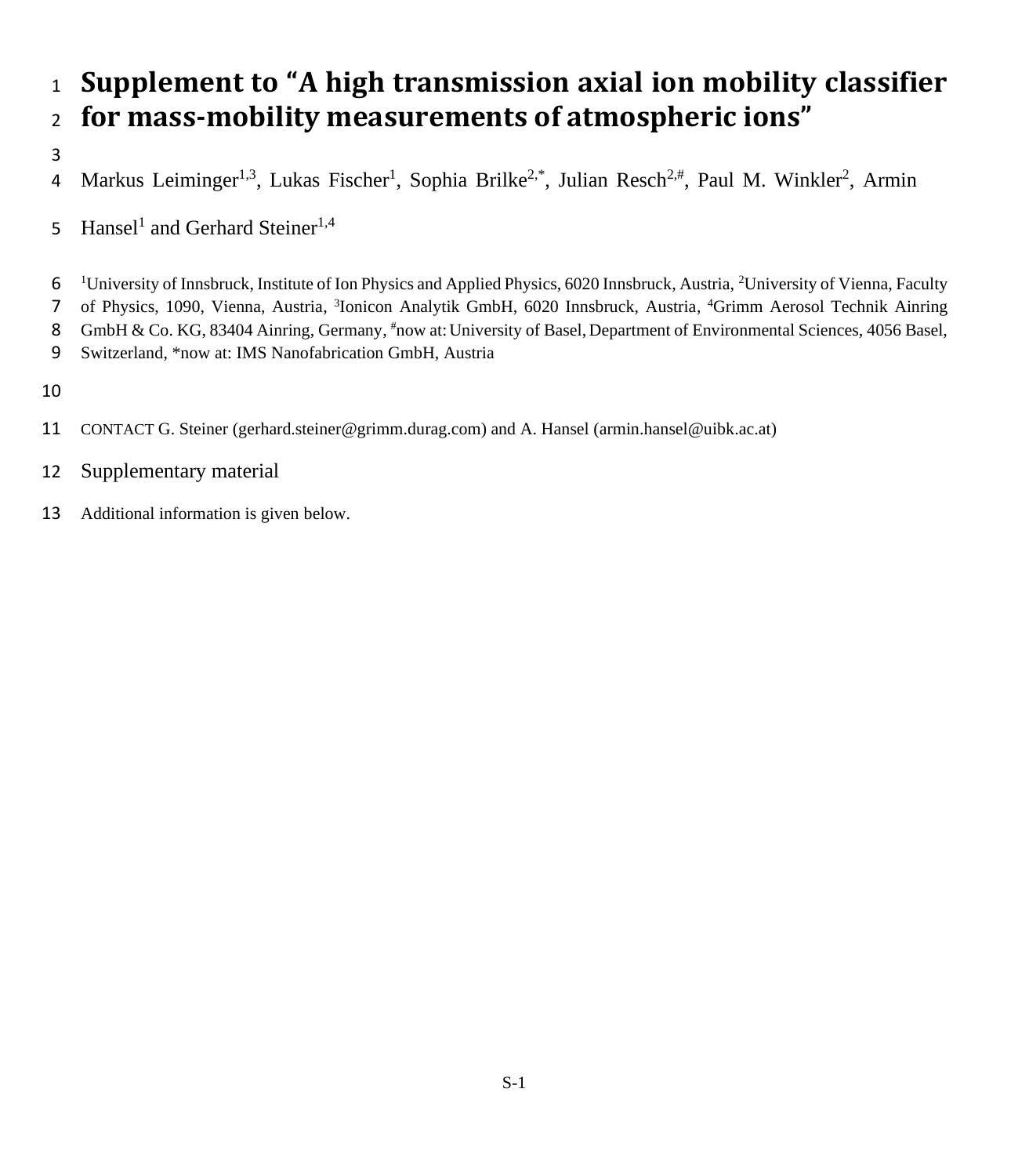## <sup>1</sup> **Supplement to "A high transmission axial ion mobility classifier**  <sup>2</sup> **for mass-mobility measurements of atmospheric ions"**

3

4 Markus Leiminger<sup>1,3</sup>, Lukas Fischer<sup>1</sup>, Sophia Brilke<sup>2,\*</sup>, Julian Resch<sup>2,#</sup>, Paul M. Winkler<sup>2</sup>, Armin

5 Hansel<sup>1</sup> and Gerhard Steiner<sup>1,4</sup>

6 <sup>1</sup>University of Innsbruck, Institute of Ion Physics and Applied Physics, 6020 Innsbruck, Austria, <sup>2</sup>University of Vienna, Faculty 7 of Physics, 1090, Vienna, Austria, <sup>3</sup>Ionicon Analytik GmbH, 6020 Innsbruck, Austria, <sup>4</sup>Grimm Aerosol Technik Ainring 8 GmbH & Co. KG, 83404 Ainring, Germany, #now at: University of Basel, Department of Environmental Sciences, 4056 Basel,

9 Switzerland, \*now at: IMS Nanofabrication GmbH, Austria

10

11 CONTACT G. Steiner (gerhard.steiner@grimm.durag.com) and A. Hansel (armin.hansel@uibk.ac.at)

- 12 Supplementary material
- 13 Additional information is given below.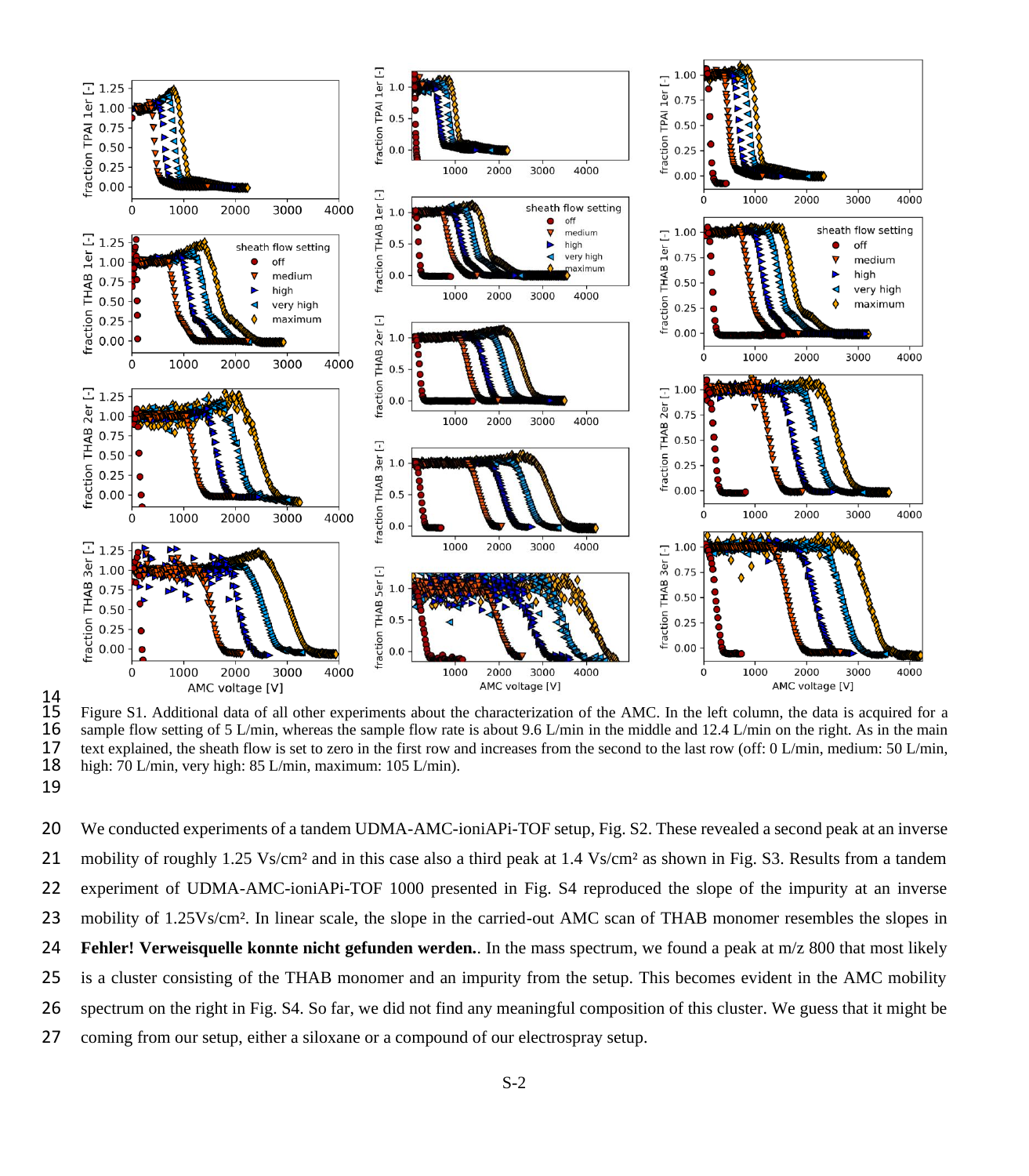

 $\frac{14}{15}$ 15 Figure S1. Additional data of all other experiments about the characterization of the AMC. In the left column, the data is acquired for a<br>16 sample flow setting of 5 L/min, whereas the sample flow rate is about 9.6 L/mi 16 sample flow setting of 5 L/min, whereas the sample flow rate is about 9.6 L/min in the middle and 12.4 L/min on the right. As in the main the main the second to the last row (off: 0 L/min. medium: 50 L/min. 17 text explained, the sheath flow is set to zero in the first row and increases from the second to the last row (off: 0 L/min, medium: 50 L/min, 18 high: 70 L/min, very high: 85 L/min, maximum: 105 L/min). high: 70 L/min, very high: 85 L/min, maximum: 105 L/min). 19

 We conducted experiments of a tandem UDMA-AMC-ioniAPi-TOF setup, Fig. S2. These revealed a second peak at an inverse mobility of roughly 1.25 Vs/cm² and in this case also a third peak at 1.4 Vs/cm² as shown in Fig. S3. Results from a tandem experiment of UDMA-AMC-ioniAPi-TOF 1000 presented in Fig. S4 reproduced the slope of the impurity at an inverse mobility of 1.25Vs/cm². In linear scale, the slope in the carried-out AMC scan of THAB monomer resembles the slopes in **Fehler! Verweisquelle konnte nicht gefunden werden.**. In the mass spectrum, we found a peak at m/z 800 that most likely is a cluster consisting of the THAB monomer and an impurity from the setup. This becomes evident in the AMC mobility spectrum on the right in Fig. S4. So far, we did not find any meaningful composition of this cluster. We guess that it might be coming from our setup, either a siloxane or a compound of our electrospray setup.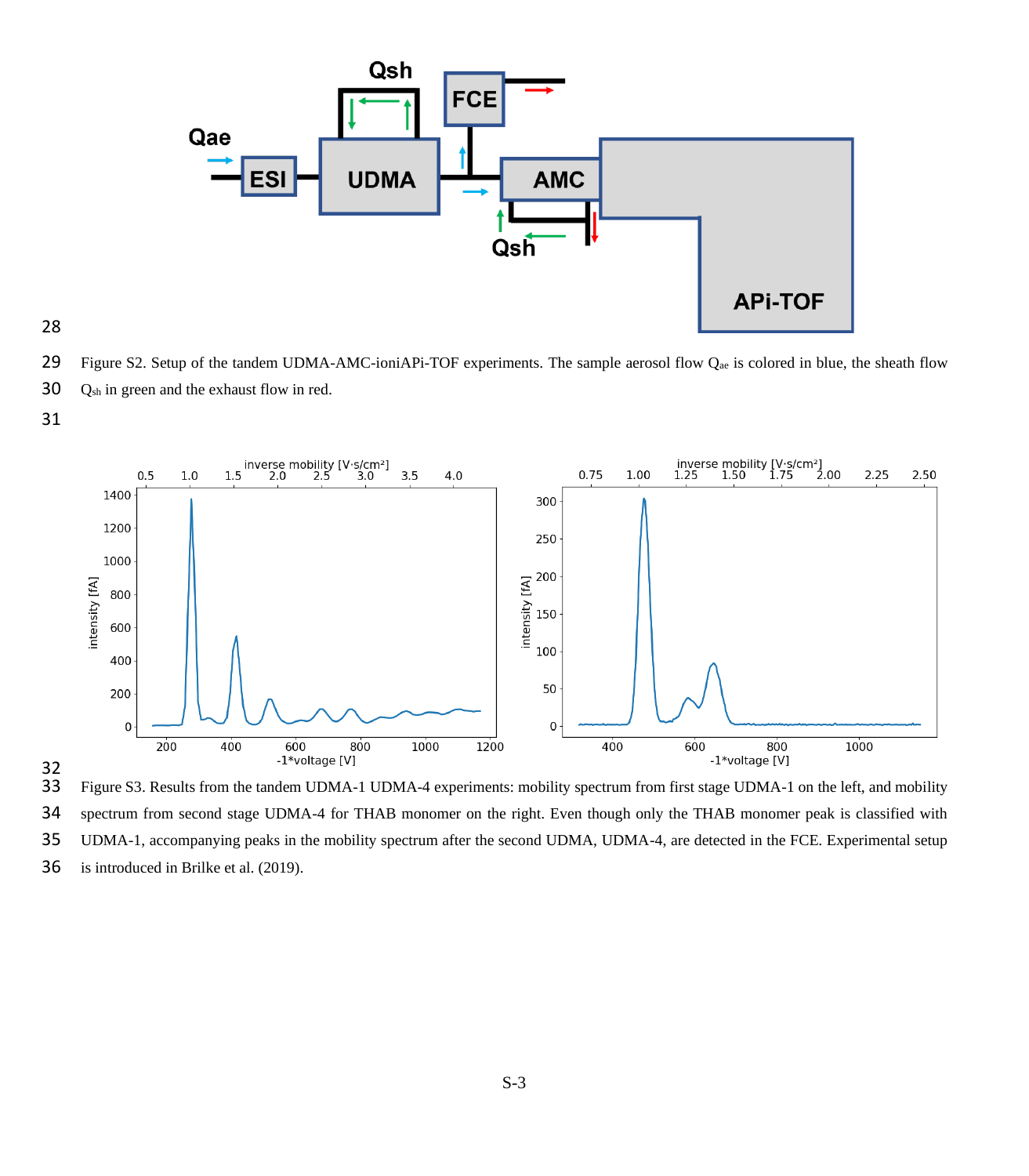

29 Figure S2. Setup of the tandem UDMA-AMC-ioniAPi-TOF experiments. The sample aerosol flow  $Q_{ae}$  is colored in blue, the sheath flow Qsh in green and the exhaust flow in red.



 Figure S3. Results from the tandem UDMA-1 UDMA-4 experiments: mobility spectrum from first stage UDMA-1 on the left, and mobility spectrum from second stage UDMA-4 for THAB monomer on the right. Even though only the THAB monomer peak is classified with UDMA-1, accompanying peaks in the mobility spectrum after the second UDMA, UDMA-4, are detected in the FCE. Experimental setup is introduced in Brilke et al. (2019).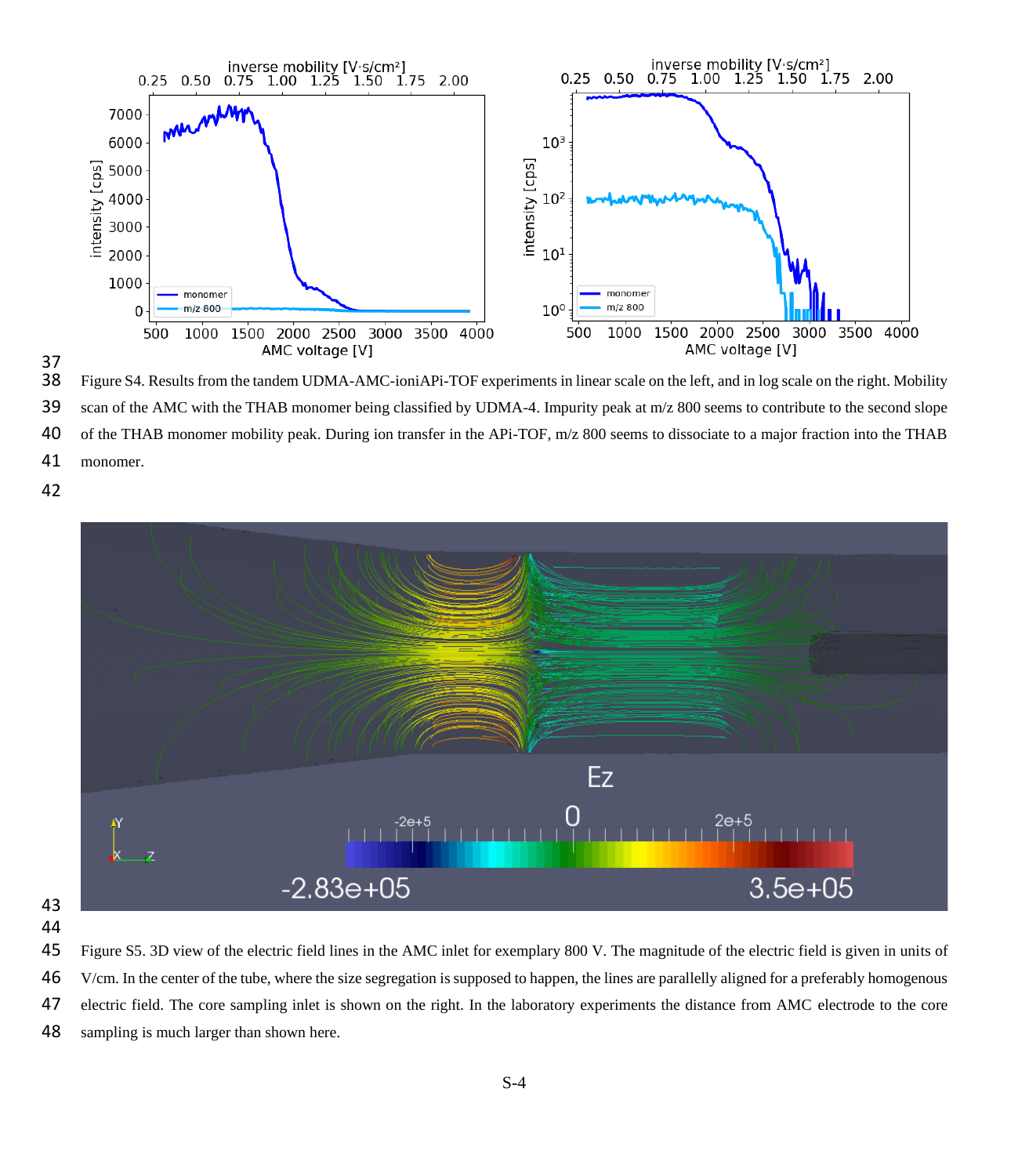

37<br>38

Figure S4. Results from the tandem UDMA-AMC-ioniAPi-TOF experiments in linear scale on the left, and in log scale on the right. Mobility scan of the AMC with the THAB monomer being classified by UDMA-4. Impurity peak at m/z 800 seems to contribute to the second slope of the THAB monomer mobility peak. During ion transfer in the APi-TOF, m/z 800 seems to dissociate to a major fraction into the THAB

monomer.



 Figure S5. 3D view of the electric field lines in the AMC inlet for exemplary 800 V. The magnitude of the electric field is given in units of V/cm. In the center of the tube, where the size segregation is supposed to happen, the lines are parallelly aligned for a preferably homogenous electric field. The core sampling inlet is shown on the right. In the laboratory experiments the distance from AMC electrode to the core sampling is much larger than shown here.